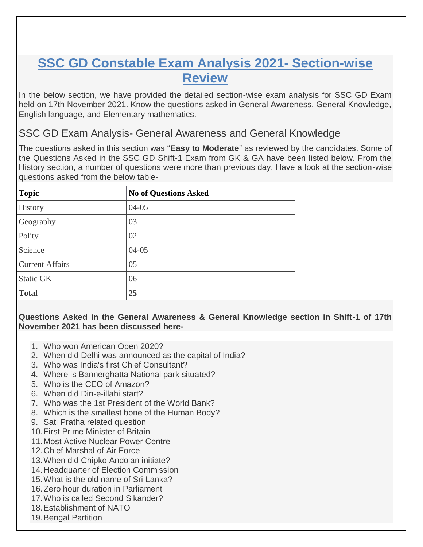## **SSC GD Constable Exam Analysis 2021- Section-wise Review**

In the below section, we have provided the detailed section-wise exam analysis for SSC GD Exam held on 17th November 2021. Know the questions asked in General Awareness, General Knowledge, English language, and Elementary mathematics.

## SSC GD Exam Analysis- General Awareness and General Knowledge

The questions asked in this section was "**Easy to Moderate**" as reviewed by the candidates. Some of the Questions Asked in the SSC GD Shift-1 Exam from GK & GA have been listed below. From the History section, a number of questions were more than previous day. Have a look at the section-wise questions asked from the below table-

| <b>Topic</b>           | <b>No of Questions Asked</b> |
|------------------------|------------------------------|
| History                | $04 - 05$                    |
| Geography              | 03                           |
| Polity                 | 02                           |
| Science                | $04 - 05$                    |
| <b>Current Affairs</b> | 05                           |
| <b>Static GK</b>       | 06                           |
| <b>Total</b>           | 25                           |

**Questions Asked in the General Awareness & General Knowledge section in Shift-1 of 17th November 2021 has been discussed here-**

- 1. Who won American Open 2020?
- 2. When did Delhi was announced as the capital of India?
- 3. Who was India's first Chief Consultant?
- 4. Where is Bannerghatta National park situated?
- 5. Who is the CEO of Amazon?
- 6. When did Din-e-illahi start?
- 7. Who was the 1st President of the World Bank?
- 8. Which is the smallest bone of the Human Body?
- 9. Sati Pratha related question
- 10.First Prime Minister of Britain
- 11.Most Active Nuclear Power Centre
- 12.Chief Marshal of Air Force
- 13.When did Chipko Andolan initiate?
- 14.Headquarter of Election Commission
- 15.What is the old name of Sri Lanka?
- 16.Zero hour duration in Parliament
- 17.Who is called Second Sikander?
- 18.Establishment of NATO
- 19.Bengal Partition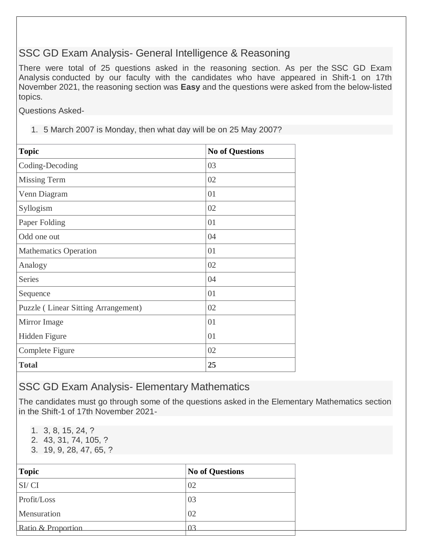## SSC GD Exam Analysis- General Intelligence & Reasoning

There were total of 25 questions asked in the reasoning section. As per the SSC GD Exam Analysis conducted by our faculty with the candidates who have appeared in Shift-1 on 17th November 2021, the reasoning section was **Easy** and the questions were asked from the below-listed topics.

Questions Asked-

1. 5 March 2007 is Monday, then what day will be on 25 May 2007?

| <b>Topic</b>                               | <b>No of Questions</b> |
|--------------------------------------------|------------------------|
| Coding-Decoding                            | 03                     |
| <b>Missing Term</b>                        | 02                     |
| Venn Diagram                               | 01                     |
| Syllogism                                  | 02                     |
| Paper Folding                              | 01                     |
| Odd one out                                | 04                     |
| <b>Mathematics Operation</b>               | 01                     |
| Analogy                                    | 02                     |
| <b>Series</b>                              | 04                     |
| Sequence                                   | 01                     |
| <b>Puzzle</b> (Linear Sitting Arrangement) | 02                     |
| Mirror Image                               | 01                     |
| Hidden Figure                              | 01                     |
| Complete Figure                            | 02                     |
| <b>Total</b>                               | 25                     |

## SSC GD Exam Analysis- Elementary Mathematics

The candidates must go through some of the questions asked in the Elementary Mathematics section in the Shift-1 of 17th November 2021-

- 1. 3, 8, 15, 24, ?
- 2. 43, 31, 74, 105, ?
- 3. 19, 9, 28, 47, 65, ?

| <b>Topic</b>       | <b>No of Questions</b> |
|--------------------|------------------------|
| SI/CI              | 02                     |
| Profit/Loss        | 03                     |
| Mensuration        | 02                     |
| Ratio & Proportion |                        |